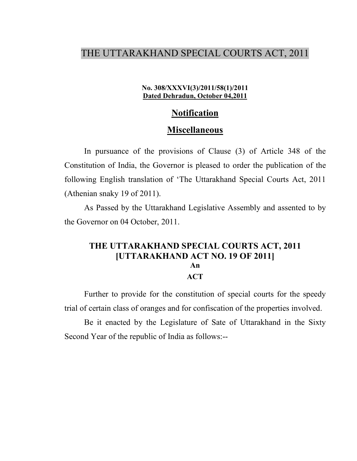# THE UTTARAKHAND SPECIAL COURTS ACT, 2011

#### No. 308/XXXVI(3)/2011/58(1)/2011 Dated Dehradun, October 04,2011

# Notification

#### Miscellaneous

In pursuance of the provisions of Clause (3) of Article 348 of the Constitution of India, the Governor is pleased to order the publication of the following English translation of 'The Uttarakhand Special Courts Act, 2011 (Athenian snaky 19 of 2011).

As Passed by the Uttarakhand Legislative Assembly and assented to by the Governor on 04 October, 2011.

## THE UTTARAKHAND SPECIAL COURTS ACT, 2011 [UTTARAKHAND ACT NO. 19 OF 2011] An **ACT**

Further to provide for the constitution of special courts for the speedy trial of certain class of oranges and for confiscation of the properties involved.

Be it enacted by the Legislature of Sate of Uttarakhand in the Sixty Second Year of the republic of India as follows:--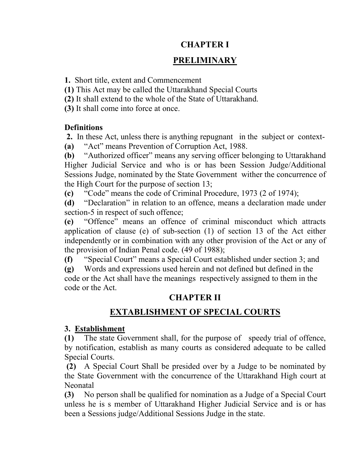# CHAPTER I

# PRELIMINARY

1. Short title, extent and Commencement

(1) This Act may be called the Uttarakhand Special Courts

(2) It shall extend to the whole of the State of Uttarakhand.

(3) It shall come into force at once.

# **Definitions**

 2. In these Act, unless there is anything repugnant in the subject or context- (a) "Act" means Prevention of Corruption Act, 1988.

(b) "Authorized officer" means any serving officer belonging to Uttarakhand Higher Judicial Service and who is or has been Session Judge/Additional Sessions Judge, nominated by the State Government wither the concurrence of the High Court for the purpose of section 13;

(c) "Code" means the code of Criminal Procedure, 1973 (2 of 1974);

(d) "Declaration" in relation to an offence, means a declaration made under section-5 in respect of such offence;

(e) "Offence" means an offence of criminal misconduct which attracts application of clause (e) of sub-section (1) of section 13 of the Act either independently or in combination with any other provision of the Act or any of the provision of Indian Penal code. (49 of 1988);

(f) "Special Court" means a Special Court established under section 3; and

(g) Words and expressions used herein and not defined but defined in the code or the Act shall have the meanings respectively assigned to them in the code or the Act.

# CHAPTER II

# EXTABLISHMENT OF SPECIAL COURTS

# 3. Establishment

(1) The state Government shall, for the purpose of speedy trial of offence, by notification, establish as many courts as considered adequate to be called Special Courts.

(2) A Special Court Shall be presided over by a Judge to be nominated by the State Government with the concurrence of the Uttarakhand High court at Neonatal

(3) No person shall be qualified for nomination as a Judge of a Special Court unless he is s member of Uttarakhand Higher Judicial Service and is or has been a Sessions judge/Additional Sessions Judge in the state.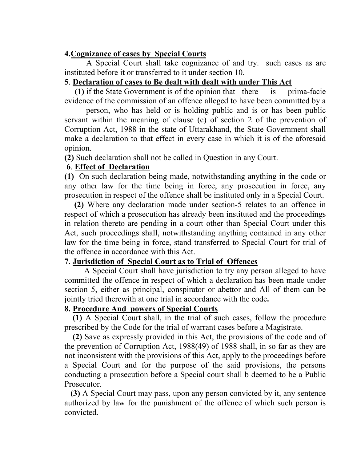## 4.Cognizance of cases by Special Courts

 A Special Court shall take cognizance of and try. such cases as are instituted before it or transferred to it under section 10.

# 5. Declaration of cases to Be dealt with dealt with under This Act

 (1) if the State Government is of the opinion that there is prima-facie evidence of the commission of an offence alleged to have been committed by a

 person, who has held or is holding public and is or has been public servant within the meaning of clause (c) of section 2 of the prevention of Corruption Act, 1988 in the state of Uttarakhand, the State Government shall make a declaration to that effect in every case in which it is of the aforesaid opinion.

(2) Such declaration shall not be called in Question in any Court.

# 6. Effect of Declaration

(1) On such declaration being made, notwithstanding anything in the code or any other law for the time being in force, any prosecution in force, any prosecution in respect of the offence shall be instituted only in a Special Court.

(2) Where any declaration made under section-5 relates to an offence in respect of which a prosecution has already been instituted and the proceedings in relation thereto are pending in a court other than Special Court under this Act, such proceedings shall, notwithstanding anything contained in any other law for the time being in force, stand transferred to Special Court for trial of the offence in accordance with this Act.

# 7. Jurisdiction of Special Court as to Trial of Offences

 A Special Court shall have jurisdiction to try any person alleged to have committed the offence in respect of which a declaration has been made under section 5, either as principal, conspirator or abettor and All of them can be jointly tried therewith at one trial in accordance with the code.

# 8. Procedure And powers of Special Courts

 (1) A Special Court shall, in the trial of such cases, follow the procedure prescribed by the Code for the trial of warrant cases before a Magistrate.

 (2) Save as expressly provided in this Act, the provisions of the code and of the prevention of Corruption Act, 1988(49) of 1988 shall, in so far as they are not inconsistent with the provisions of this Act, apply to the proceedings before a Special Court and for the purpose of the said provisions, the persons conducting a prosecution before a Special court shall b deemed to be a Public Prosecutor.

 (3) A Special Court may pass, upon any person convicted by it, any sentence authorized by law for the punishment of the offence of which such person is convicted.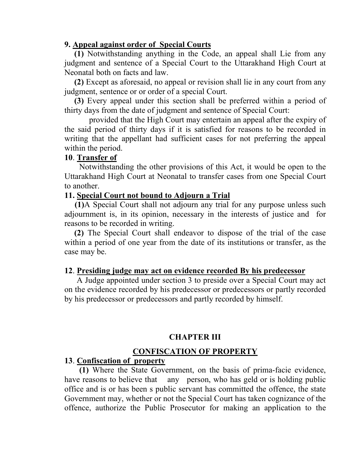#### 9. Appeal against order of Special Courts

(1) Notwithstanding anything in the Code, an appeal shall Lie from any judgment and sentence of a Special Court to the Uttarakhand High Court at Neonatal both on facts and law.

(2) Except as aforesaid, no appeal or revision shall lie in any court from any judgment, sentence or or order of a special Court.

(3) Every appeal under this section shall be preferred within a period of thirty days from the date of judgment and sentence of Special Court:

provided that the High Court may entertain an appeal after the expiry of the said period of thirty days if it is satisfied for reasons to be recorded in writing that the appellant had sufficient cases for not preferring the appeal within the period.

#### 10. Transfer of

Notwithstanding the other provisions of this Act, it would be open to the Uttarakhand High Court at Neonatal to transfer cases from one Special Court to another.

#### 11. Special Court not bound to Adjourn a Trial

 (1)A Special Court shall not adjourn any trial for any purpose unless such adjournment is, in its opinion, necessary in the interests of justice and for reasons to be recorded in writing.

(2) The Special Court shall endeavor to dispose of the trial of the case within a period of one year from the date of its institutions or transfer, as the case may be.

### 12. Presiding judge may act on evidence recorded By his predecessor

 A Judge appointed under section 3 to preside over a Special Court may act on the evidence recorded by his predecessor or predecessors or partly recorded by his predecessor or predecessors and partly recorded by himself.

### CHAPTER III

### CONFISCATION OF PROPERTY

### 13. Confiscation of property

(1) Where the State Government, on the basis of prima-facie evidence, have reasons to believe that any person, who has geld or is holding public office and is or has been s public servant has committed the offence, the state Government may, whether or not the Special Court has taken cognizance of the offence, authorize the Public Prosecutor for making an application to the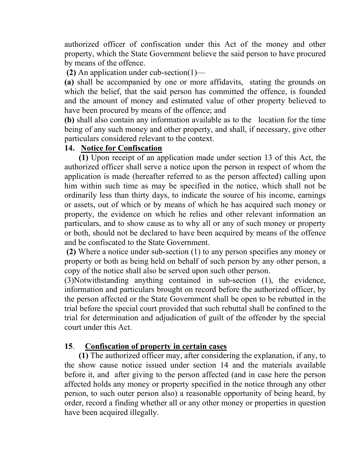authorized officer of confiscation under this Act of the money and other property, which the State Government believe the said person to have procured by means of the offence.

(2) An application under cub-section(1)—

(a) shall be accompanied by one or more affidavits, stating the grounds on which the belief, that the said person has committed the offence, is founded and the amount of money and estimated value of other property believed to have been procured by means of the offence; and

(b) shall also contain any information available as to the location for the time being of any such money and other property, and shall, if necessary, give other particulars considered relevant to the context.

## 14. Notice for Confiscation

 (1) Upon receipt of an application made under section 13 of this Act, the authorized officer shall serve a notice upon the person in respect of whom the application is made (hereafter referred to as the person affected) calling upon him within such time as may be specified in the notice, which shall not be ordinarily less than thirty days, to indicate the source of his income, earnings or assets, out of which or by means of which he has acquired such money or property, the evidence on which he relies and other relevant information an particulars, and to show cause as to why all or any of such money or property or both, should not be declared to have been acquired by means of the offence and be confiscated to the State Government.

 (2) Where a notice under sub-section (1) to any person specifies any money or property or both as being held on behalf of such person by any other person, a copy of the notice shall also be served upon such other person.

(3)Notwithstanding anything contained in sub-section (1), the evidence, information and particulars brought on record before the authorized officer, by the person affected or the State Government shall be open to be rebutted in the trial before the special court provided that such rebuttal shall be confined to the trial for determination and adjudication of guilt of the offender by the special court under this Act.

# 15. Confiscation of property in certain cases

 (1) The authorized officer may, after considering the explanation, if any, to the show cause notice issued under section 14 and the materials available before it, and after giving to the person affected (and in case here the person affected holds any money or property specified in the notice through any other person, to such outer person also) a reasonable opportunity of being heard, by order, record a finding whether all or any other money or properties in question have been acquired illegally.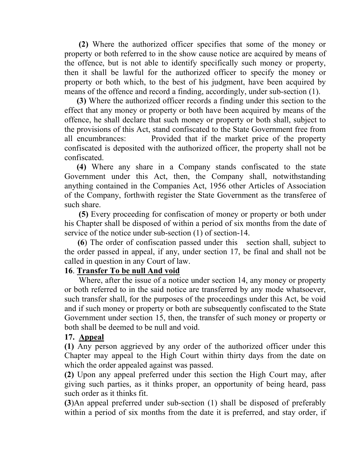(2) Where the authorized officer specifies that some of the money or property or both referred to in the show cause notice are acquired by means of the offence, but is not able to identify specifically such money or property, then it shall be lawful for the authorized officer to specify the money or property or both which, to the best of his judgment, have been acquired by means of the offence and record a finding, accordingly, under sub-section (1).

 (3) Where the authorized officer records a finding under this section to the effect that any money or property or both have been acquired by means of the offence, he shall declare that such money or property or both shall, subject to the provisions of this Act, stand confiscated to the State Government free from all encumbrances: Provided that if the market price of the property confiscated is deposited with the authorized officer, the property shall not be confiscated.

 (4) Where any share in a Company stands confiscated to the state Government under this Act, then, the Company shall, notwithstanding anything contained in the Companies Act, 1956 other Articles of Association of the Company, forthwith register the State Government as the transferee of such share.

 (5) Every proceeding for confiscation of money or property or both under his Chapter shall be disposed of within a period of six months from the date of service of the notice under sub-section (1) of section-14.

 (6) The order of confiscation passed under this section shall, subject to the order passed in appeal, if any, under section 17, be final and shall not be called in question in any Court of law.

## 16. Transfer To be null And void

 Where, after the issue of a notice under section 14, any money or property or both referred to in the said notice are transferred by any mode whatsoever, such transfer shall, for the purposes of the proceedings under this Act, be void and if such money or property or both are subsequently confiscated to the State Government under section 15, then, the transfer of such money or property or both shall be deemed to be null and void.

#### 17. Appeal

(1) Any person aggrieved by any order of the authorized officer under this Chapter may appeal to the High Court within thirty days from the date on which the order appealed against was passed.

(2) Upon any appeal preferred under this section the High Court may, after giving such parties, as it thinks proper, an opportunity of being heard, pass such order as it thinks fit.

(3)An appeal preferred under sub-section (1) shall be disposed of preferably within a period of six months from the date it is preferred, and stay order, if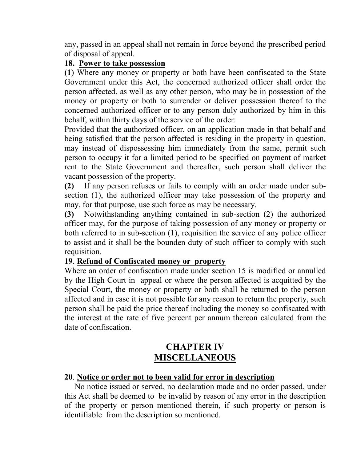any, passed in an appeal shall not remain in force beyond the prescribed period of disposal of appeal.

## 18. Power to take possession

(1) Where any money or property or both have been confiscated to the State Government under this Act, the concerned authorized officer shall order the person affected, as well as any other person, who may be in possession of the money or property or both to surrender or deliver possession thereof to the concerned authorized officer or to any person duly authorized by him in this behalf, within thirty days of the service of the order:

Provided that the authorized officer, on an application made in that behalf and being satisfied that the person affected is residing in the property in question, may instead of dispossessing him immediately from the same, permit such person to occupy it for a limited period to be specified on payment of market rent to the State Government and thereafter, such person shall deliver the vacant possession of the property.

(2) If any person refuses or fails to comply with an order made under subsection (1), the authorized officer may take possession of the property and may, for that purpose, use such force as may be necessary.

(3) Notwithstanding anything contained in sub-section (2) the authorized officer may, for the purpose of taking possession of any money or property or both referred to in sub-section (1), requisition the service of any police officer to assist and it shall be the bounden duty of such officer to comply with such requisition.

# 19. Refund of Confiscated money or property

Where an order of confiscation made under section 15 is modified or annulled by the High Court in appeal or where the person affected is acquitted by the Special Court, the money or property or both shall be returned to the person affected and in case it is not possible for any reason to return the property, such person shall be paid the price thereof including the money so confiscated with the interest at the rate of five percent per annum thereon calculated from the date of confiscation.

# CHAPTER IV MISCELLANEOUS

# 20. Notice or order not to been valid for error in description

 No notice issued or served, no declaration made and no order passed, under this Act shall be deemed to be invalid by reason of any error in the description of the property or person mentioned therein, if such property or person is identifiable from the description so mentioned.